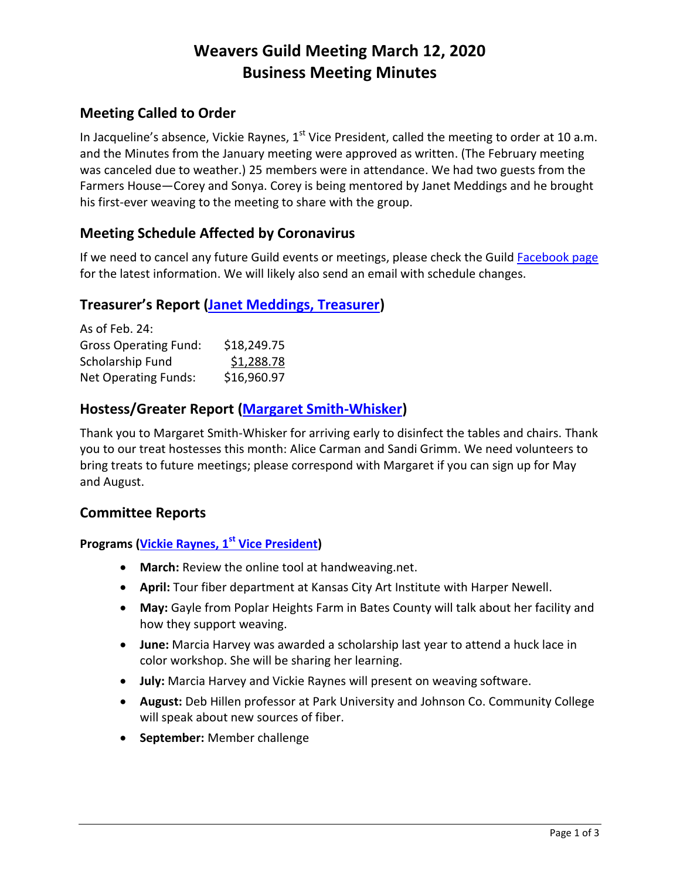# **Weavers Guild Meeting March 12, 2020 Business Meeting Minutes**

# **Meeting Called to Order**

In Jacqueline's absence, Vickie Raynes,  $1<sup>st</sup>$  Vice President, called the meeting to order at 10 a.m. and the Minutes from the January meeting were approved as written. (The February meeting was canceled due to weather.) 25 members were in attendance. We had two guests from the Farmers House—Corey and Sonya. Corey is being mentored by Janet Meddings and he brought his first-ever weaving to the meeting to share with the group.

# **Meeting Schedule Affected by Coronavirus**

If we need to cancel any future Guild events or meetings, please check the Guil[d Facebook page](https://www.facebook.com/Kansas-City-Weavers-Guild-101827957315/) for the latest information. We will likely also send an email with schedule changes.

# **Treasurer's Report [\(Janet Meddings, Treasurer\)](mailto:janetmeddings@gmail.com)**

| As of Feb. 24:               |             |
|------------------------------|-------------|
| <b>Gross Operating Fund:</b> | \$18,249.75 |
| Scholarship Fund             | \$1,288.78  |
| <b>Net Operating Funds:</b>  | \$16,960.97 |

# **Hostess/Greater Report [\(Margaret Smith-Whisker\)](mailto:mswgngpwhl@aol.com)**

Thank you to Margaret Smith-Whisker for arriving early to disinfect the tables and chairs. Thank you to our treat hostesses this month: Alice Carman and Sandi Grimm. We need volunteers to bring treats to future meetings; please correspond with Margaret if you can sign up for May and August.

# **Committee Reports**

# **Programs [\(Vickie Raynes, 1](mailto:vlraynes@hotmail.com) st Vice President)**

- **March:** Review the online tool at handweaving.net.
- **April:** Tour fiber department at Kansas City Art Institute with Harper Newell.
- **May:** Gayle from Poplar Heights Farm in Bates County will talk about her facility and how they support weaving.
- **June:** Marcia Harvey was awarded a scholarship last year to attend a huck lace in color workshop. She will be sharing her learning.
- **July:** Marcia Harvey and Vickie Raynes will present on weaving software.
- **August:** Deb Hillen professor at Park University and Johnson Co. Community College will speak about new sources of fiber.
- **•** September: Member challenge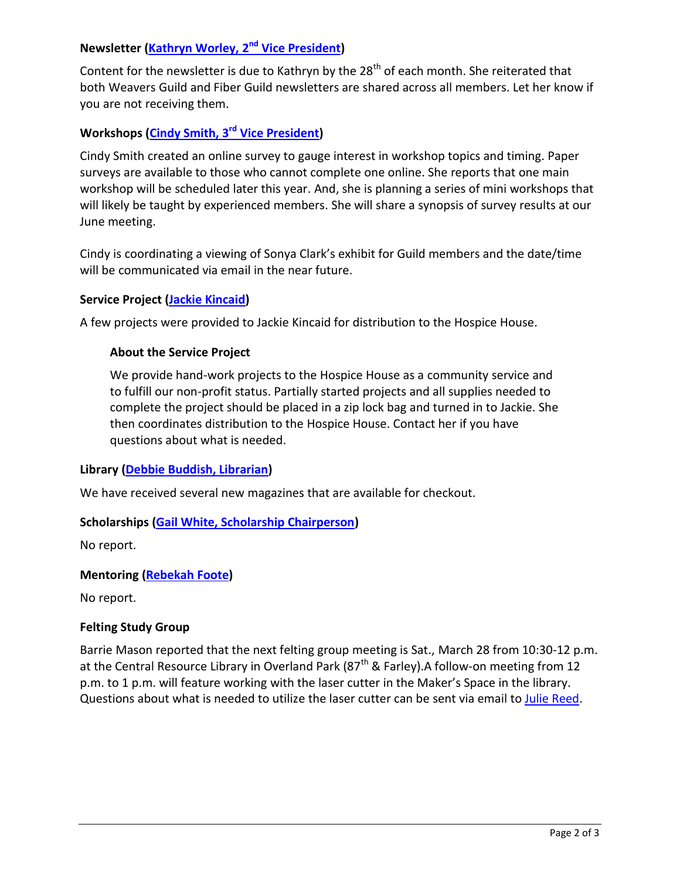# **Newsletter [\(Kathryn Worley, 2](mailto:kckatw@aol.com) nd Vice President)**

Content for the newsletter is due to Kathryn by the 28<sup>th</sup> of each month. She reiterated that both Weavers Guild and Fiber Guild newsletters are shared across all members. Let her know if you are not receiving them.

# **Workshops [\(Cindy Smith, 3](mailto:cynthiaelainesmith@gmail.com)rd Vice President)**

Cindy Smith created an online survey to gauge interest in workshop topics and timing. Paper surveys are available to those who cannot complete one online. She reports that one main workshop will be scheduled later this year. And, she is planning a series of mini workshops that will likely be taught by experienced members. She will share a synopsis of survey results at our June meeting.

Cindy is coordinating a viewing of Sonya Clark's exhibit for Guild members and the date/time will be communicated via email in the near future.

#### **Service Project [\(Jackie Kincaid\)](mailto:ifeltfiber@gmail.com)**

A few projects were provided to Jackie Kincaid for distribution to the Hospice House.

#### **About the Service Project**

We provide hand-work projects to the Hospice House as a community service and to fulfill our non-profit status. Partially started projects and all supplies needed to complete the project should be placed in a zip lock bag and turned in to Jackie. She then coordinates distribution to the Hospice House. Contact her if you have questions about what is needed.

#### **Library [\(Debbie Buddish, Librarian\)](mailto:dbuddish@gmail.com)**

We have received several new magazines that are available for checkout.

#### **Scholarships [\(Gail White, Scholarship Chairperson\)](mailto:gailfwhite68@gmail.com)**

No report.

#### **Mentoring [\(Rebekah Foote\)](mailto:rebkeat1@gmail.com)**

No report.

#### **Felting Study Group**

Barrie Mason reported that the next felting group meeting is Sat., March 28 from 10:30-12 p.m. at the Central Resource Library in Overland Park ( $87<sup>th</sup>$  & Farley). A follow-on meeting from 12 p.m. to 1 p.m. will feature working with the laser cutter in the Maker's Space in the library. Questions about what is needed to utilize the laser cutter can be sent via email t[o Julie Reed.](mailto:juliereeddesign@gmail.com)